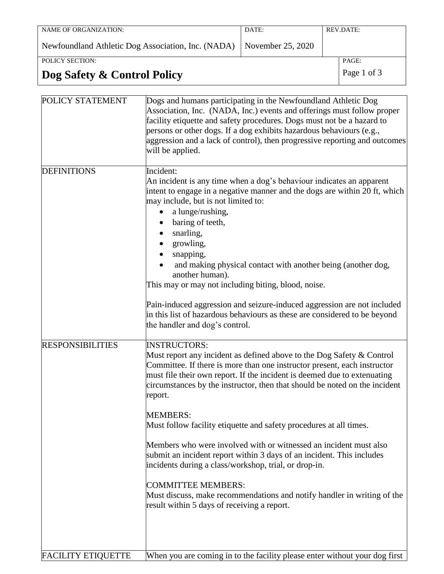| NAME OF ORGANIZATION:                                                  | DATE: | REV.DATE: |
|------------------------------------------------------------------------|-------|-----------|
|                                                                        |       |           |
|                                                                        |       |           |
| Newfoundland Athletic Dog Association, Inc. (NADA)   November 25, 2020 |       |           |
|                                                                        |       |           |
|                                                                        |       |           |
| POLICY SECTION:                                                        |       | PAGE:     |

# **Dog Safety & Control Policy** Page 1 of 3

| POLICY STATEMENT          | Dogs and humans participating in the Newfoundland Athletic Dog<br>Association, Inc. (NADA, Inc.) events and offerings must follow proper<br>facility etiquette and safety procedures. Dogs must not be a hazard to<br>persons or other dogs. If a dog exhibits hazardous behaviours (e.g.,<br>aggression and a lack of control), then progressive reporting and outcomes<br>will be applied.                                                                                                                                                                                                                                                                                                                                                                                                         |
|---------------------------|------------------------------------------------------------------------------------------------------------------------------------------------------------------------------------------------------------------------------------------------------------------------------------------------------------------------------------------------------------------------------------------------------------------------------------------------------------------------------------------------------------------------------------------------------------------------------------------------------------------------------------------------------------------------------------------------------------------------------------------------------------------------------------------------------|
| <b>DEFINITIONS</b>        | Incident:<br>An incident is any time when a dog's behaviour indicates an apparent<br>intent to engage in a negative manner and the dogs are within 20 ft, which<br>may include, but is not limited to:<br>a lunge/rushing,<br>baring of teeth,<br>snarling,<br>growling,<br>snapping,<br>and making physical contact with another being (another dog,<br>another human).<br>This may or may not including biting, blood, noise.<br>Pain-induced aggression and seizure-induced aggression are not included<br>in this list of hazardous behaviours as these are considered to be beyond<br>the handler and dog's control.                                                                                                                                                                            |
| <b>RESPONSIBILITIES</b>   | <b>INSTRUCTORS:</b><br>Must report any incident as defined above to the Dog Safety & Control<br>Committee. If there is more than one instructor present, each instructor<br>must file their own report. If the incident is deemed due to extenuating<br>circumstances by the instructor, then that should be noted on the incident<br>report.<br><b>MEMBERS:</b><br>Must follow facility etiquette and safety procedures at all times.<br>Members who were involved with or witnessed an incident must also<br>submit an incident report within 3 days of an incident. This includes<br>incidents during a class/workshop, trial, or drop-in.<br><b>COMMITTEE MEMBERS:</b><br>Must discuss, make recommendations and notify handler in writing of the<br>result within 5 days of receiving a report. |
| <b>FACILITY ETIQUETTE</b> | When you are coming in to the facility please enter without your dog first                                                                                                                                                                                                                                                                                                                                                                                                                                                                                                                                                                                                                                                                                                                           |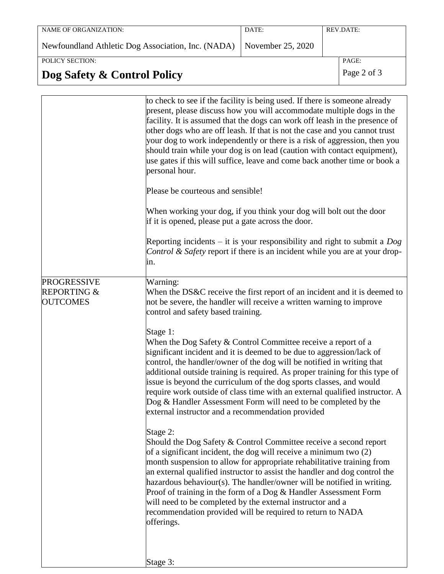| NAME OF ORGANIZATION:                                                | DATE: | <b>REV.DATE:</b> |
|----------------------------------------------------------------------|-------|------------------|
| Newfoundland Athletic Dog Association, Inc. (NADA) November 25, 2020 |       |                  |
| POLICY SECTION:                                                      |       | PAGE:            |

## **Dog Safety & Control Policy** Page 2 of 3

|                                                                 | to check to see if the facility is being used. If there is someone already<br>present, please discuss how you will accommodate multiple dogs in the<br>facility. It is assumed that the dogs can work off leash in the presence of<br>other dogs who are off leash. If that is not the case and you cannot trust<br>your dog to work independently or there is a risk of aggression, then you<br>should train while your dog is on lead (caution with contact equipment),<br>use gates if this will suffice, leave and come back another time or book a<br>personal hour.<br>Please be courteous and sensible! |
|-----------------------------------------------------------------|----------------------------------------------------------------------------------------------------------------------------------------------------------------------------------------------------------------------------------------------------------------------------------------------------------------------------------------------------------------------------------------------------------------------------------------------------------------------------------------------------------------------------------------------------------------------------------------------------------------|
|                                                                 | When working your dog, if you think your dog will bolt out the door<br>if it is opened, please put a gate across the door.                                                                                                                                                                                                                                                                                                                                                                                                                                                                                     |
|                                                                 | Reporting incidents – it is your responsibility and right to submit a $Dog$<br><i>Control &amp; Safety</i> report if there is an incident while you are at your drop-<br>in.                                                                                                                                                                                                                                                                                                                                                                                                                                   |
| <b>PROGRESSIVE</b><br><b>REPORTING &amp;</b><br><b>OUTCOMES</b> | Warning:<br>When the DS&C receive the first report of an incident and it is deemed to<br>not be severe, the handler will receive a written warning to improve<br>control and safety based training.                                                                                                                                                                                                                                                                                                                                                                                                            |
|                                                                 | Stage 1:<br>When the Dog Safety $&$ Control Committee receive a report of a<br>significant incident and it is deemed to be due to aggression/lack of<br>control, the handler/owner of the dog will be notified in writing that<br>additional outside training is required. As proper training for this type of<br>issue is beyond the curriculum of the dog sports classes, and would<br>require work outside of class time with an external qualified instructor. A<br>Dog & Handler Assessment Form will need to be completed by the<br>external instructor and a recommendation provided                    |
|                                                                 | Stage 2:<br>Should the Dog Safety $&$ Control Committee receive a second report<br>of a significant incident, the dog will receive a minimum two (2)<br>month suspension to allow for appropriate rehabilitative training from<br>an external qualified instructor to assist the handler and dog control the<br>hazardous behaviour(s). The handler/owner will be notified in writing.<br>Proof of training in the form of a Dog & Handler Assessment Form<br>will need to be completed by the external instructor and a<br>recommendation provided will be required to return to NADA<br>offerings.           |
|                                                                 | Stage 3:                                                                                                                                                                                                                                                                                                                                                                                                                                                                                                                                                                                                       |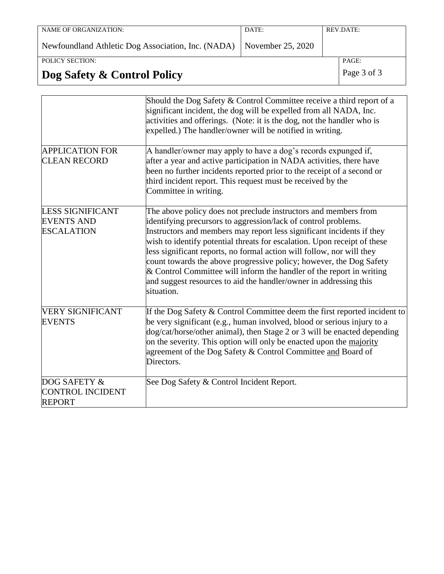| NAME OF ORGANIZATION:                                                | DATE: | REV.DATE: |
|----------------------------------------------------------------------|-------|-----------|
|                                                                      |       |           |
|                                                                      |       |           |
| Newfoundland Athletic Dog Association, Inc. (NADA) November 25, 2020 |       |           |
|                                                                      |       |           |
|                                                                      |       |           |
| POLICY SECTION:                                                      |       | PAGE:     |
|                                                                      |       |           |

# **Dog Safety & Control Policy** Page 3 of 3

|                                                                   | Should the Dog Safety & Control Committee receive a third report of a<br>significant incident, the dog will be expelled from all NADA, Inc.<br>activities and offerings. (Note: it is the dog, not the handler who is<br>expelled.) The handler/owner will be notified in writing.                                                                                                                                                                                                                                                                                                                   |
|-------------------------------------------------------------------|------------------------------------------------------------------------------------------------------------------------------------------------------------------------------------------------------------------------------------------------------------------------------------------------------------------------------------------------------------------------------------------------------------------------------------------------------------------------------------------------------------------------------------------------------------------------------------------------------|
| <b>APPLICATION FOR</b><br><b>CLEAN RECORD</b>                     | A handler/owner may apply to have a dog's records expunged if,<br>after a year and active participation in NADA activities, there have<br>been no further incidents reported prior to the receipt of a second or<br>third incident report. This request must be received by the<br>Committee in writing.                                                                                                                                                                                                                                                                                             |
| <b>LESS SIGNIFICANT</b><br><b>EVENTS AND</b><br><b>ESCALATION</b> | The above policy does not preclude instructors and members from<br>identifying precursors to aggression/lack of control problems.<br>Instructors and members may report less significant incidents if they<br>wish to identify potential threats for escalation. Upon receipt of these<br>less significant reports, no formal action will follow, nor will they<br>count towards the above progressive policy; however, the Dog Safety<br>$\&$ Control Committee will inform the handler of the report in writing<br>and suggest resources to aid the handler/owner in addressing this<br>situation. |
| <b>VERY SIGNIFICANT</b><br><b>EVENTS</b>                          | If the Dog Safety & Control Committee deem the first reported incident to<br>be very significant (e.g., human involved, blood or serious injury to a<br>dog/cat/horse/other animal), then Stage 2 or 3 will be enacted depending<br>on the severity. This option will only be enacted upon the majority<br>agreement of the Dog Safety & Control Committee and Board of<br>Directors.                                                                                                                                                                                                                |
| DOG SAFETY &<br><b>CONTROL INCIDENT</b><br><b>REPORT</b>          | See Dog Safety & Control Incident Report.                                                                                                                                                                                                                                                                                                                                                                                                                                                                                                                                                            |